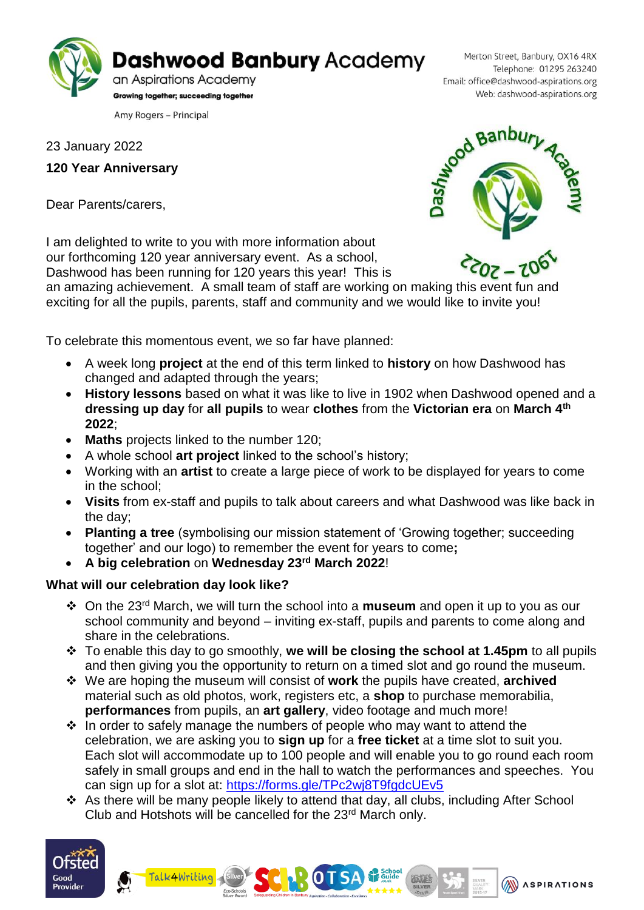

Merton Street, Banbury, OX16 4RX Telephone: 01295 263240 Email: office@dashwood-aspirations.org Web: dashwood-aspirations.org

23 January 2022

**120 Year Anniversary** 

Dear Parents/carers,

I am delighted to write to you with more information about our forthcoming 120 year anniversary event. As a school, Dashwood has been running for 120 years this year! This is



**WASPIRATIONS** 

an amazing achievement. A small team of staff are working on making this event fun and exciting for all the pupils, parents, staff and community and we would like to invite you!

To celebrate this momentous event, we so far have planned:

- A week long **project** at the end of this term linked to **history** on how Dashwood has changed and adapted through the years;
- **History lessons** based on what it was like to live in 1902 when Dashwood opened and a **dressing up day** for **all pupils** to wear **clothes** from the **Victorian era** on **March 4th 2022**;
- **Maths** projects linked to the number 120;
- A whole school **art project** linked to the school's history;
- Working with an **artist** to create a large piece of work to be displayed for years to come in the school;
- **Visits** from ex-staff and pupils to talk about careers and what Dashwood was like back in the day;
- **Planting a tree** (symbolising our mission statement of 'Growing together; succeeding together' and our logo) to remember the event for years to come**;**
- **A big celebration** on **Wednesday 23rd March 2022**!

## **What will our celebration day look like?**

- On the 23rd March, we will turn the school into a **museum** and open it up to you as our school community and beyond – inviting ex-staff, pupils and parents to come along and share in the celebrations.
- To enable this day to go smoothly, **we will be closing the school at 1.45pm** to all pupils and then giving you the opportunity to return on a timed slot and go round the museum.
- We are hoping the museum will consist of **work** the pupils have created, **archived** material such as old photos, work, registers etc, a **shop** to purchase memorabilia, **performances** from pupils, an **art gallery**, video footage and much more!
- $\cdot$  In order to safely manage the numbers of people who may want to attend the celebration, we are asking you to **sign up** for a **free ticket** at a time slot to suit you. Each slot will accommodate up to 100 people and will enable you to go round each room safely in small groups and end in the hall to watch the performances and speeches. You can sign up for a slot at: <https://forms.gle/TPc2wj8T9fgdcUEv5>
- \* As there will be many people likely to attend that day, all clubs, including After School Club and Hotshots will be cancelled for the 23rd March only.